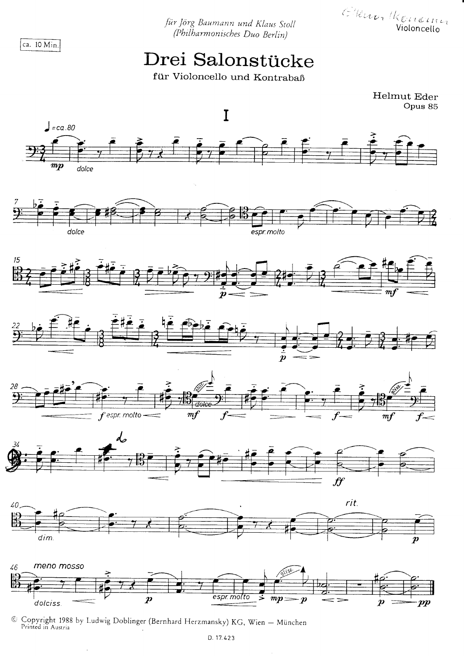ca. 10 Min.

für Jörg Baumann und Klaus Stoll<br>(Philharmonisches Duo Berlin)

Gleury Koncine

# Drei Salonstücke

für Violoncello und Kontrabaß



 $\circledR$  Copyright 1988 by Ludwig Doblinger (Bernhard Herzmansky) KG, Wien  $-$  München Printed in Austria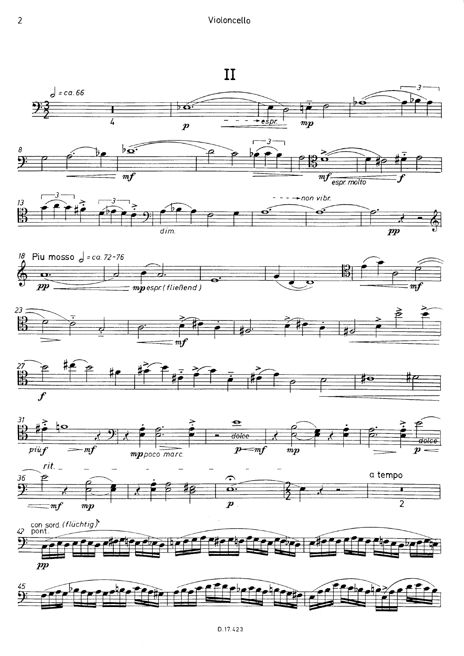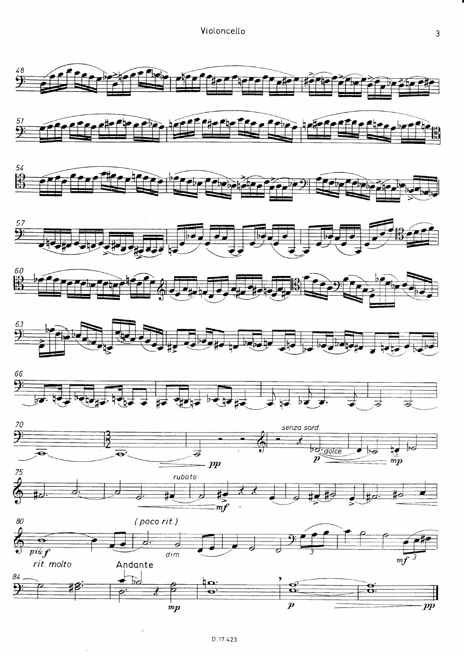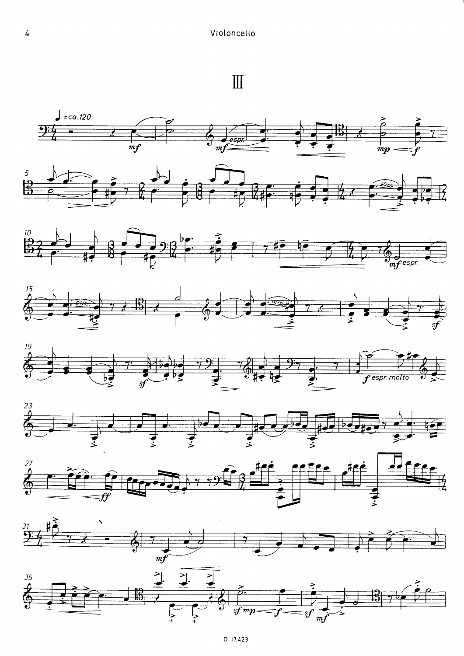## $\mathbf{I}$















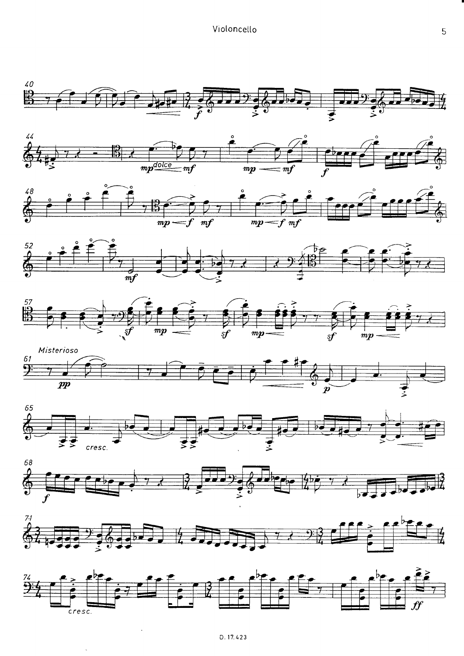Violoncello



















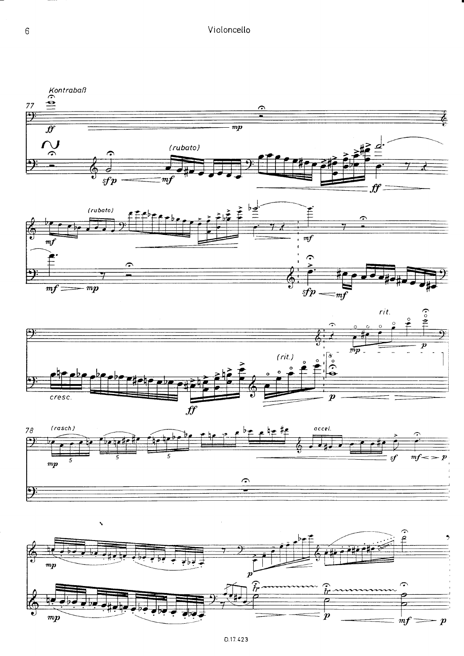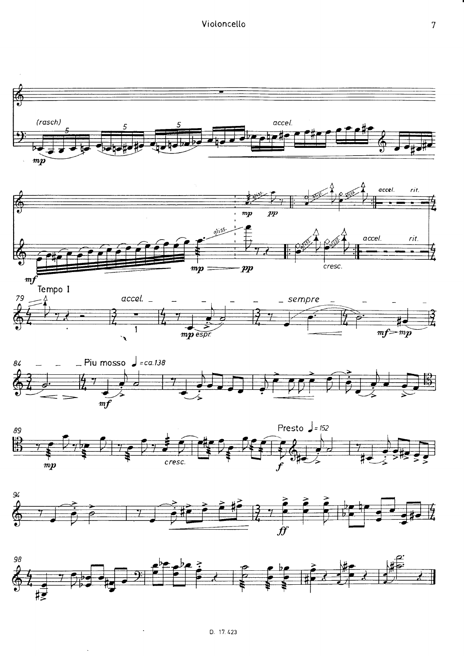### Violoncello

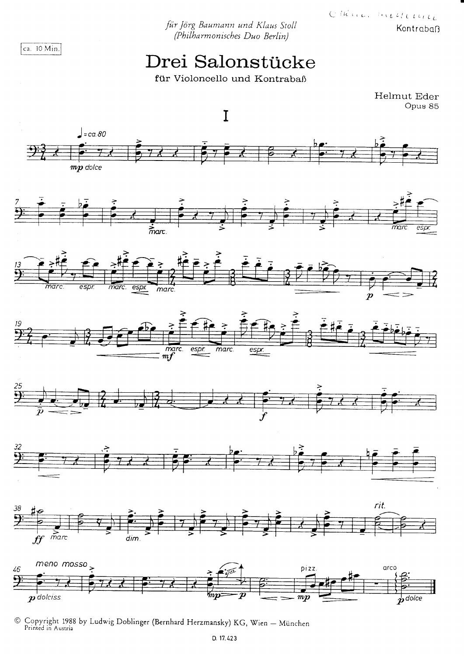ca. 10 Min.

### für Jörg Baumann und Klaus Stoll (Philharmonisches Duo Berlin)

## Drei Salonstücke

für Violoncello und Kontrabaß



 $\circledR$  Copyright 1988 by Ludwig Doblinger (Bernhard Herzmansky) KG, Wien  $-$  München Printed in Austria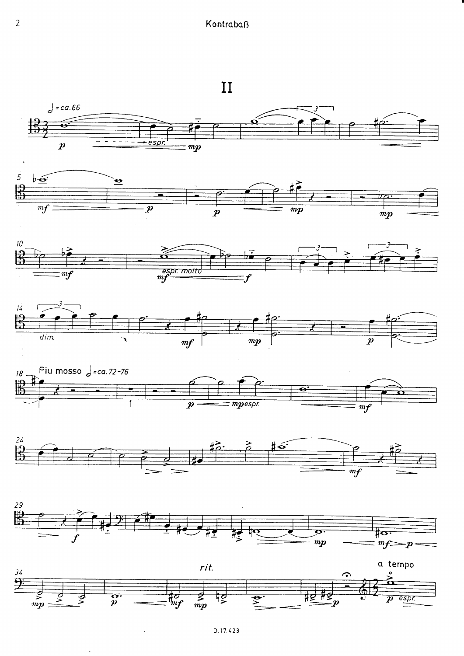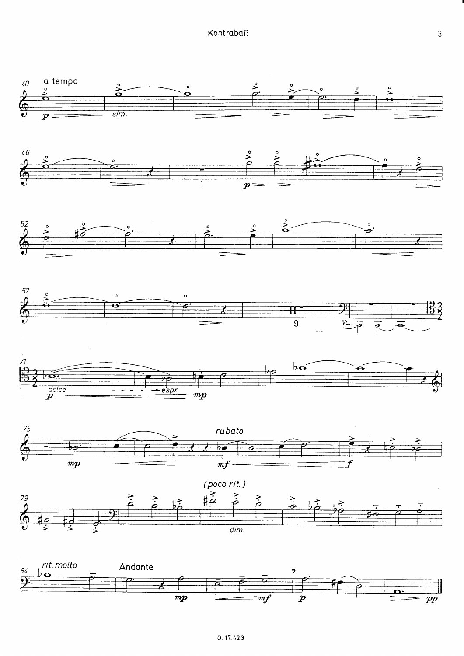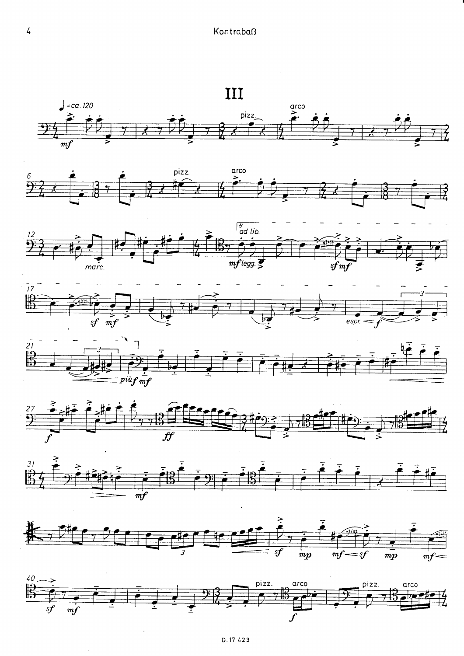















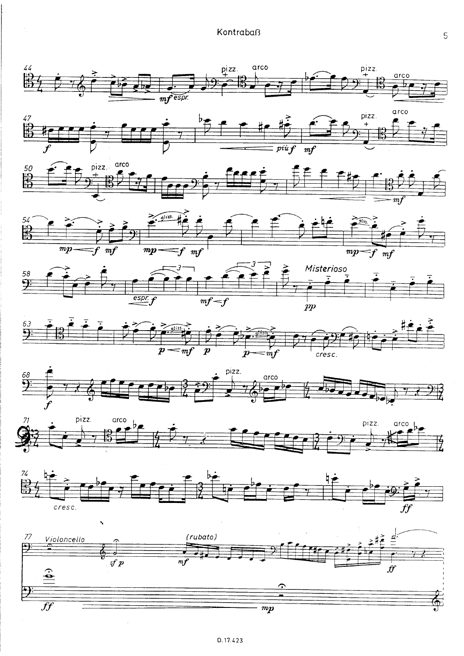#### Kontrabaß



 $mp$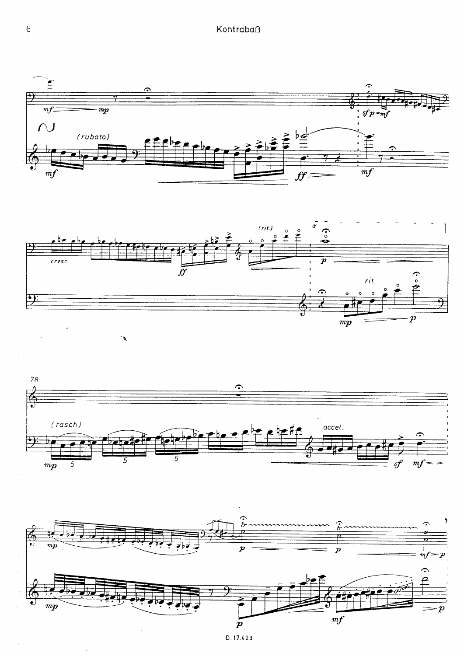



ä